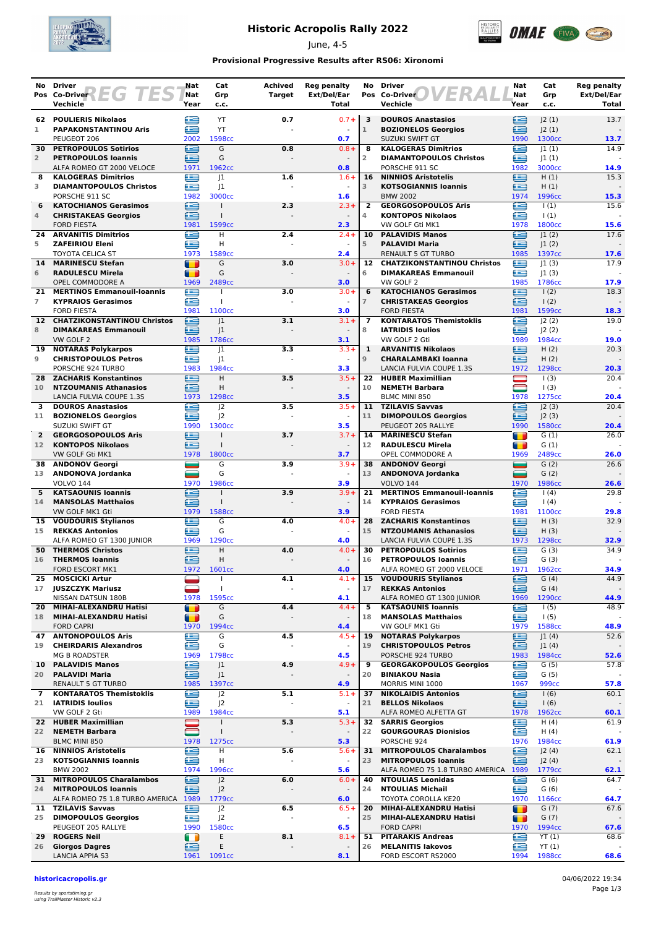

# **Historic Acropolis Rally 2022**

June, 4-5



### **Provisional Progressive Results after RS06: Xironomi**

|                       | No Driver                                                                        | Nat            | Cat                                  | <b>Achived</b> | <b>Reg penalty</b>              | No                  | <b>Driver</b>                                                  | Nat            | Cat                        | <b>Reg penalty</b>   |
|-----------------------|----------------------------------------------------------------------------------|----------------|--------------------------------------|----------------|---------------------------------|---------------------|----------------------------------------------------------------|----------------|----------------------------|----------------------|
|                       | Pos Co-Driver $\left\{\begin{array}{c c} \hline \end{array}\right\}$<br>Vechicle | Nat<br>Year    | Grp<br>c.c.                          | <b>Target</b>  | Ext/Del/Ear<br>Total            |                     | ER<br>Pos Co-Driver<br>Vechicle                                | Nat<br>Year    | Grp<br>c.c.                | Ext/Del/Ear<br>Total |
|                       | 62 POULIERIS Nikolaos                                                            | ≘              | YT                                   | 0.7            | $0.7 +$                         | 3                   | <b>DOUROS Anastasios</b>                                       | œ              | J2(1)                      | 13.7                 |
| 1                     | <b>PAPAKONSTANTINOU Aris</b>                                                     | æ              | YT                                   |                |                                 | $\mathbf{1}$        | <b>BOZIONELOS Georgios</b>                                     | £              | J2(1)                      |                      |
|                       | PEUGEOT 206                                                                      | 2002           | 1598cc                               |                | 0.7                             |                     | <b>SUZUKI SWIFT GT</b>                                         | 1990           | 1300cc                     | 13.7                 |
| 30<br>$\overline{2}$  | <b>PETROPOULOS Sotirios</b><br><b>PETROPOULOS Ioannis</b>                        | £<br>œ         | G<br>G                               | 0.8            | $0.8 +$                         | 8<br>$\overline{2}$ | <b>KALOGERAS Dimitrios</b><br><b>DIAMANTOPOULOS Christos</b>   | ≘<br>£         | 1(1) <br> 1(1)             | 14.9                 |
|                       | ALFA ROMEO GT 2000 VELOCE                                                        | 1971           | 1962cc                               |                | 0.8                             |                     | PORSCHE 911 SC                                                 | 1982           | 3000cc                     | 14.9                 |
| 8                     | <b>KALOGERAS Dimitrios</b>                                                       | Œ              | 1                                    | 1.6            | $1.6+$                          | 16                  | <b>NINNIOS Aristotelis</b>                                     | £              | H(1)                       | 15.3                 |
| 3                     | <b>DIAMANTOPOULOS Christos</b>                                                   | £              | 1                                    |                | $\omega$                        | 3                   | <b>KOTSOGIANNIS Ioannis</b>                                    | ≘              | H(1)                       |                      |
| 6                     | PORSCHE 911 SC<br><b>KATOCHIANOS Gerasimos</b>                                   | 1982<br>∈      | 3000cc                               | 2.3            | 1.6<br>$2.3 +$                  | $\overline{2}$      | <b>BMW 2002</b><br><b>GEORGOSOPOULOS Aris</b>                  | 1974<br>£      | 1996cc<br>$\vert$ (1)      | 15.3<br>15.6         |
| 4                     | <b>CHRISTAKEAS Georgios</b>                                                      | £              |                                      |                |                                 | 4                   | <b>KONTOPOS Nikolaos</b>                                       | £              | $\vert$ (1)                |                      |
|                       | <b>FORD FIESTA</b>                                                               | 1981           | 1599cc                               |                | 2.3                             |                     | VW GOLF Gti MK1                                                | 1978           | 1800cc                     | 15.6                 |
| 24<br>5               | <b>ARVANITIS Dimitrios</b><br><b>ZAFEIRIOU Eleni</b>                             | £<br>æ         | н<br>H                               | 2.4            | $2.4 +$                         | 10<br>5             | <b>PALAVIDIS Manos</b><br><b>PALAVIDI Maria</b>                | £<br>£         | 1(2) <br> 1(2)             | 17.6                 |
|                       | <b>TOYOTA CELICA ST</b>                                                          | 1973           | 1589cc                               |                | 2.4                             |                     | <b>RENAULT 5 GT TURBO</b>                                      | 1985           | 1397cc                     | 17.6                 |
| 14                    | <b>MARINESCU Stefan</b>                                                          | $\blacksquare$ | G                                    | 3.0            | $3.0+$                          | 12                  | <b>CHATZIKONSTANTINOU Christos</b>                             | æ              | 1(3)                       | 17.9                 |
| 6                     | <b>RADULESCU Mirela</b>                                                          | œ              | G                                    |                | $\sim$                          | 6                   | <b>DIMAKAREAS Emmanouil</b>                                    | œ              | 1(3)                       |                      |
| 21                    | OPEL COMMODORE A<br><b>MERTINOS Emmanouil-Ioannis</b>                            | 1969<br>G      | 2489 <sub>cc</sub>                   | 3.0            | 3.0<br>$3.0+$                   | 6                   | VW GOLF 2<br><b>KATOCHIANOS Gerasimos</b>                      | 1985<br>≘      | 1786cc<br>$\frac{1(2)}{2}$ | 17.9<br>18.3         |
| $\overline{7}$        | <b>KYPRAIOS Gerasimos</b>                                                        | ≘              |                                      |                |                                 | $\overline{7}$      | <b>CHRISTAKEAS Georgios</b>                                    | ∈              | $\frac{1(2)}{2}$           |                      |
|                       | <b>FORD FIESTA</b>                                                               | 1981           | 1100cc                               |                | 3.0                             |                     | <b>FORD FIESTA</b>                                             | 1981           | 1599cc                     | 18.3                 |
| 12 <sup>12</sup><br>8 | <b>CHATZIKONSTANTINOU Christos</b><br><b>DIMAKAREAS Emmanouil</b>                | œ<br>£         | 1<br> 1                              | 3.1            | $3.1 +$                         | $\overline{ }$<br>8 | <b>KONTARATOS Themistoklis</b><br><b>IATRIDIS Ioulios</b>      | œ<br>£         | J2(2)<br> 2(2)             | 19.0                 |
|                       | VW GOLF 2                                                                        | 1985           | 1786cc                               |                | 3.1                             |                     | VW GOLF 2 Gti                                                  | 1989           | 1984cc                     | 19.0                 |
| 19                    | <b>NOTARAS Polykarpos</b>                                                        | e              | 1                                    | 3.3            | $3.3 +$                         | $\mathbf{1}$        | <b>ARVANITIS Nikolaos</b>                                      | £              | H(2)                       | 20.3                 |
| 9                     | <b>CHRISTOPOULOS Petros</b>                                                      | £              | 1                                    |                | $\omega$                        | $\overline{9}$      | <b>CHARALAMBAKI Ioanna</b>                                     | œ              | H(2)                       |                      |
| 28                    | PORSCHE 924 TURBO<br><b>ZACHARIS Konstantinos</b>                                | 1983<br>£      | 1984cc<br>H                          | 3.5            | 3.3<br>$3.5+$                   | 22                  | LANCIA FULVIA COUPE 1.3S<br><b>HUBER Maximillian</b>           | 1972           | 1298cc<br>$\vert$ (3)      | 20.3<br>20.4         |
| 10                    | <b>NTZOUMANIS Athanasios</b>                                                     | ≘              | Н                                    |                |                                 | 10                  | <b>NEMETH Barbara</b>                                          | $\blacksquare$ | $\vert$ (3)                |                      |
|                       | LANCIA FULVIA COUPE 1.3S                                                         | 1973           | 1298cc                               |                | 3.5                             |                     | BLMC MINI 850                                                  | 1978           | 1275cc                     | 20.4                 |
| 3                     | <b>DOUROS Anastasios</b>                                                         | £<br>œ         | 2<br> 2                              | 3.5            | $3.5+$<br>$\sim$                | 11                  | 11 TZILAVIS Savvas                                             | œ<br>≘         | J2(3)<br>J2(3)             | 20.4                 |
| 11                    | <b>BOZIONELOS Georgios</b><br><b>SUZUKI SWIFT GT</b>                             | 1990           | 1300 <sub>cc</sub>                   |                | 3.5                             |                     | <b>DIMOPOULOS Georgios</b><br>PEUGEOT 205 RALLYE               | 1990           | 1580cc                     | 20.4                 |
| $\overline{2}$        | <b>GEORGOSOPOULOS Aris</b>                                                       | ∈              |                                      | 3.7            | $3.7 +$                         | 14                  | <b>MARINESCU Stefan</b>                                        | $\blacksquare$ | G(1)                       | 26.0                 |
| 12 <sup>7</sup>       | <b>KONTOPOS Nikolaos</b>                                                         | æ              |                                      |                |                                 | 12                  | <b>RADULESCU Mirela</b>                                        | $\blacksquare$ | G(1)                       |                      |
| 38                    | VW GOLF Gti MK1<br><b>ANDONOV Georgi</b>                                         | 1978<br>and a  | 1800 <sub>cc</sub><br>$\overline{G}$ | 3.9            | 3.7<br>$3.9 +$                  | 38                  | OPEL COMMODORE A<br><b>ANDONOV Georgi</b>                      | 1969<br>=      | 2489cc<br>G(2)             | 26.0<br>26.6         |
| 13                    | ANDONOVA Jordanka                                                                | -              | G                                    |                |                                 | 13                  | ANDONOVA Jordanka                                              | $\blacksquare$ | G(2)                       |                      |
|                       | <b>VOLVO 144</b>                                                                 | 1970           | 1986cc                               |                | 3.9                             |                     | <b>VOLVO 144</b>                                               | 1970           | 1986cc                     | 26.6                 |
| 5<br>14               | <b>KATSAOUNIS Ioannis</b><br><b>MANSOLAS Matthaios</b>                           | £<br>œ         | $\mathbf{I}$                         | 3.9            | $3.9+$<br>$\sim$                | 21<br>14            | <b>MERTINOS Emmanouil-Ioannis</b><br><b>KYPRAIOS Gerasimos</b> | œ<br>≘         | 1(4)<br>$\vert$ (4)        | 29.8                 |
|                       | VW GOLF MK1 Gti                                                                  | 1979           | 1588cc                               |                | 3.9                             |                     | <b>FORD FIESTA</b>                                             | 1981           | 1100cc                     | 29.8                 |
| 15                    | <b>VOUDOURIS Stylianos</b>                                                       | £              | G                                    | 4.0            | $4.0 +$                         | 28                  | <b>ZACHARIS Konstantinos</b>                                   | e              | H(3)                       | 32.9                 |
| 15                    | <b>REKKAS Antonios</b><br>ALFA ROMEO GT 1300 JUNIOR                              | æ<br>1969      | G<br>1290 <sub>cc</sub>              |                | $\Box$<br>4.0                   | 15                  | <b>NTZOUMANIS Athanasios</b><br>LANCIA FULVIA COUPE 1.3S       | £<br>1973      | H(3)<br>1298cc             | 32.9                 |
| 50                    | <b>THERMOS Christos</b>                                                          | €              | H                                    | 4.0            | $4.0 +$                         | 30                  | <b>PETROPOULOS Sotirios</b>                                    | ≘              | G(3)                       | 34.9                 |
| 16                    | <b>THERMOS loannis</b>                                                           | œ              | Н                                    |                |                                 | 16                  | <b>PETROPOULOS Ioannis</b>                                     | £              | G(3)                       |                      |
|                       | <b>FORD ESCORT MK1</b>                                                           | 1972           | 1601cc                               |                | 4.0                             |                     | ALFA ROMEO GT 2000 VELOCE                                      | 1971           | 1962cc                     | 34.9                 |
| 25<br>17              | <b>MOSCICKI Artur</b><br><b>JUSZCZYK Mariusz</b>                                 |                | -1<br>$\mathbf{I}$                   | 4.1            | $4.1 +$<br>$\omega$             | 15<br>17            | <b>VOUDOURIS Stylianos</b><br><b>REKKAS Antonios</b>           | e<br>∈         | G(4)<br>G(4)               | 44.9                 |
|                       | NISSAN DATSUN 180B                                                               | 1978           | 1595cc                               |                | 4.1                             |                     | ALFA ROMEO GT 1300 JUNIOR                                      | 1969           | 1290 <sub>cc</sub>         | 44.9                 |
| 20                    | MIHAI-ALEXANDRU Hatisi                                                           | т              | G                                    | 4.4            | $4.4 +$                         | 5                   | <b>KATSAOUNIS Ioannis</b>                                      | œ              | 1(5)                       | 48.9                 |
| 18                    | MIHAI-ALEXANDRU Hatisi<br><b>FORD CAPRI</b>                                      | T<br>1970      | G<br>1994 <sub>cc</sub>              |                | $\overline{\phantom{a}}$<br>4.4 | 18                  | <b>MANSOLAS Matthaios</b><br>VW GOLF MK1 Gti                   | ≘<br>1979      | 1(5)<br>1588cc             | 48.9                 |
| 47                    | <b>ANTONOPOULOS Aris</b>                                                         | e              | G                                    | 4.5            | $4.5+$                          | 19                  | <b>NOTARAS Polykarpos</b>                                      | ⊜              | J1(4)                      | 52.6                 |
| 19                    | <b>CHEIRDARIS Alexandros</b>                                                     | £              | G                                    |                | $\sim$                          | 19                  | <b>CHRISTOPOULOS Petros</b>                                    | ∈              | J1(4)                      |                      |
|                       | <b>MG B ROADSTER</b><br><b>PALAVIDIS Manos</b>                                   | 1969<br>≘      | 1798cc<br>J1                         | 4.9            | 4.5<br>$4.9 +$                  | 9                   | PORSCHE 924 TURBO<br><b>GEORGAKOPOULOS Georgios</b>            | 1983<br>Œ      | 1984cc<br>G(5)             | 52.6<br>57.8         |
| 10<br>20              | <b>PALAVIDI Maria</b>                                                            | œ              | J <sub>1</sub>                       |                | $\overline{\phantom{a}}$        | 20                  | <b>BINIAKOU Nasia</b>                                          | œ              | G(5)                       |                      |
|                       | <b>RENAULT 5 GT TURBO</b>                                                        | 1985           | 1397cc                               |                | 4.9                             |                     | MORRIS MINI 1000                                               | 1967           | 999 <sub>cc</sub>          | 57.8                 |
| 7                     | <b>KONTARATOS Themistoklis</b>                                                   | ∈              | J <sub>2</sub>                       | 5.1            | $5.1 +$                         | 37                  | <b>NIKOLAIDIS Antonios</b>                                     | ≘              | 1(6)                       | 60.1                 |
| 21                    | <b>IATRIDIS Ioulios</b><br>VW GOLF 2 Gti                                         | œ<br>1989      | J <sup>2</sup><br>1984 <sub>cc</sub> |                | $\bar{a}$<br>5.1                | 21                  | <b>BELLOS Nikolaos</b><br>ALFA ROMEO ALFETTA GT                | ఆ<br>1978      | 1(6)<br>1962cc             | 60.1                 |
|                       | 22 HUBER Maximillian                                                             |                |                                      | 5.3            | $5.3+$                          | 32                  | <b>SARRIS Georgios</b>                                         | ∈              | H(4)                       | 61.9                 |
| 22                    | <b>NEMETH Barbara</b>                                                            | ═              | $\mathbf{I}$                         |                |                                 | 22                  | <b>GOURGOURAS Dionisios</b>                                    | e              | H(4)                       |                      |
|                       | <b>BLMC MINI 850</b><br><b>16 NINNIOS Aristotelis</b>                            | 1978<br>€      | 1275cc<br>н                          | 5.6            | 5.3<br>$5.6+$                   |                     | PORSCHE 924<br>31 MITROPOULOS Charalambos                      | 1976<br>∈      | 1984cc<br>J2(4)            | 61.9<br>62.1         |
| 23                    | <b>KOTSOGIANNIS loannis</b>                                                      | ≘              | Н                                    | L,             | $\overline{\phantom{a}}$        | 23                  | <b>MITROPOULOS Ioannis</b>                                     | ≘              | J2(4)                      |                      |
|                       | <b>BMW 2002</b>                                                                  | 1974           | 1996cc                               |                | 5.6                             |                     | ALFA ROMEO 75 1.8 TURBO AMERICA                                | 1989           | 1779 <sub>cc</sub>         | 62.1                 |
| 31                    | <b>MITROPOULOS Charalambos</b>                                                   | £              | J <sup>2</sup>                       | 6.0            | $6.0+$                          | 40                  | <b>NTOULIAS Leonidas</b>                                       | £              | G(6)                       | 64.7                 |
| 24                    | <b>MITROPOULOS Ioannis</b><br>ALFA ROMEO 75 1.8 TURBO AMERICA 1989               | ≘              | J <sup>2</sup><br>1779 <sub>cc</sub> |                | $\overline{\phantom{a}}$<br>6.0 | 24                  | <b>NTOULIAS Michail</b><br>TOYOTA COROLLA KE20                 | œ<br>1970      | G(6)<br>1166cc             | 64.7                 |
|                       | 11 TZILAVIS Savvas                                                               | ≊              | J <sup>2</sup>                       | 6.5            | $6.5+$                          | 20                  | MIHAI-ALEXANDRU Hatisi                                         | $\blacksquare$ | G(7)                       | 67.6                 |
| 25                    | <b>DIMOPOULOS Georgios</b>                                                       | ≘              | J <sup>2</sup>                       |                | $\sim$                          | 25                  | MIHAI-ALEXANDRU Hatisi                                         | T              | G(7)                       |                      |
|                       | PEUGEOT 205 RALLYE                                                               | 1990           | 1580cc                               |                | 6.5                             |                     | <b>FORD CAPRI</b>                                              | 1970           | 1994cc                     | 67.6                 |
| 29<br>26              | <b>ROGERS Neil</b><br><b>Giorgos Dagres</b>                                      | Œ<br>≘         | Ε<br>Ε                               | 8.1            | $8.1 +$                         | 51<br>26            | <b>PITARAKIS Andreas</b><br><b>MELANITIS lakovos</b>           | e<br>£         | YT(1)<br>YT(1)             | 68.6                 |
|                       | <b>LANCIA APPIA S3</b>                                                           | 1961           | 1091cc                               |                | 8.1                             |                     | FORD ESCORT RS2000                                             | 1994           | 1988cc                     | 68.6                 |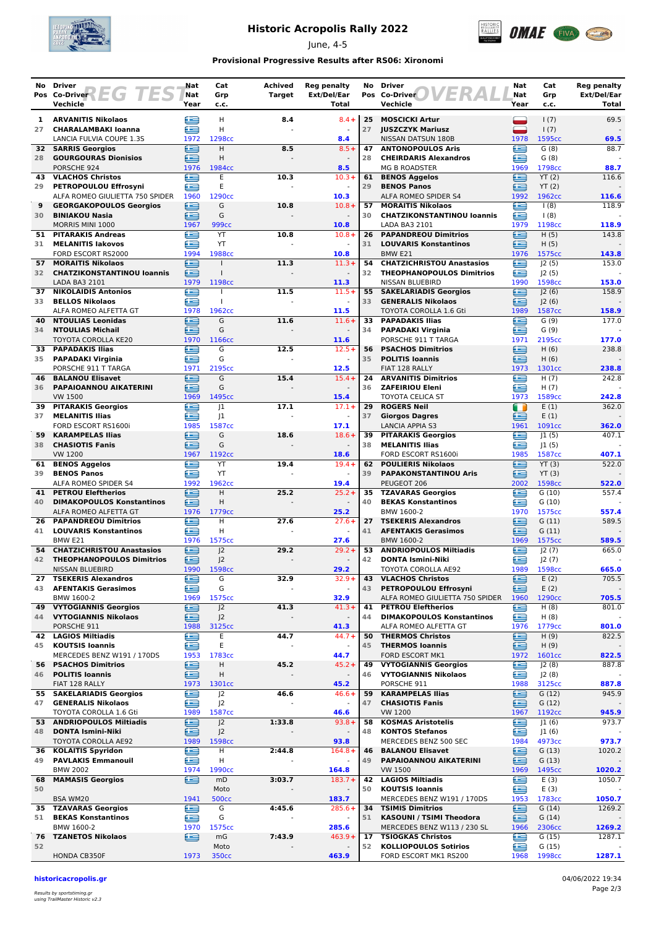

# **Historic Acropolis Rally 2022**

June, 4-5



## **Provisional Progressive Results after RS06: Xironomi**

| No.      | <b>Driver</b><br>Pos Co-Driver $\left\{\begin{array}{c c} \hline \end{array}\right\}$<br><b>TES</b> | Nat<br>Nat | Cat<br>Grp                | Achived<br><b>Target</b> | <b>Reg penalty</b><br>Ext/Del/Ear | No       | <b>Driver</b><br>ER<br>Pos Co-Driver                       | Nat<br>Nat | Cat<br>Grp      | <b>Reg penalty</b><br>Ext/Del/Ear |
|----------|-----------------------------------------------------------------------------------------------------|------------|---------------------------|--------------------------|-----------------------------------|----------|------------------------------------------------------------|------------|-----------------|-----------------------------------|
|          | Vechicle                                                                                            | Year       | c.c.                      |                          | <b>Total</b>                      |          | Vechicle                                                   | Year       | c.c.            | Total                             |
| 1        | <b>ARVANITIS Nikolaos</b>                                                                           | £          | H                         | 8.4                      | $8.4 +$                           | 25       | <b>MOSCICKI Artur</b>                                      | ▃          | 1(7)            | 69.5                              |
| 27       | <b>CHARALAMBAKI Ioanna</b>                                                                          | œ          | н                         |                          |                                   | 27       | <b>JUSZCZYK Mariusz</b>                                    | ▀          | 1(7)            |                                   |
|          | LANCIA FULVIA COUPE 1.3S                                                                            | 1972       | 1298cc                    |                          | 8.4                               |          | NISSAN DATSUN 180B                                         | 1978       | 1595cc          | 69.5                              |
| 28       | 32 SARRIS Georgios<br><b>GOURGOURAS Dionisios</b>                                                   | ≘<br>∈     | H.<br>H                   | 8.5                      | $8.5+$                            | 47<br>28 | <b>ANTONOPOULOS Aris</b><br><b>CHEIRDARIS Alexandros</b>   | œ<br>≘     | G(8)<br>G(8)    | 88.7                              |
|          | PORSCHE 924                                                                                         | 1976       | 1984cc                    |                          | 8.5                               |          | <b>MG B ROADSTER</b>                                       | 1969       | 1798cc          | 88.7                              |
| 43       | <b>VLACHOS Christos</b>                                                                             | œ          | E                         | 10.3                     | $10.3+$                           | 61       | <b>BENOS Aggelos</b>                                       | ≘          | YT(2)           | 116.6                             |
| 29       | PETROPOULOU Effrosyni                                                                               | æ          | E                         |                          | $\overline{\phantom{a}}$          | 29       | <b>BENOS Panos</b>                                         | ≘          | YT(2)           |                                   |
| 9        | ALFA ROMEO GIULIETTA 750 SPIDER<br><b>GEORGAKOPOULOS Georgios</b>                                   | 1960<br>€  | 1290cc<br>G               | 10.8                     | 10.3<br>$10.8 +$                  | 57       | ALFA ROMEO SPIDER S4<br><b>MORAITIS Nikolaos</b>           | 1992<br>⋐  | 1962cc<br>1(8)  | 116.6<br>118.9                    |
| 30       | <b>BINIAKOU Nasia</b>                                                                               | ≘          | G                         |                          |                                   | 30       | <b>CHATZIKONSTANTINOU loannis</b>                          | œ          | 1(8)            |                                   |
|          | MORRIS MINI 1000                                                                                    | 1967       | 999 <sub>cc</sub>         |                          | 10.8                              |          | LADA BA3 2101                                              | 1979       | 1198cc          | 118.9                             |
| 51       | <b>PITARAKIS Andreas</b>                                                                            | £          | YT                        | 10.8                     | $10.8 +$                          | 26       | <b>PAPANDREOU Dimitrios</b>                                | œ          | H(5)            | 143.8                             |
| 31       | <b>MELANITIS lakovos</b><br>FORD ESCORT RS2000                                                      | e<br>1994  | YT<br>1988cc              |                          | 10.8                              | 31       | <b>LOUVARIS Konstantinos</b><br>BMW <sub>E21</sub>         | ∈<br>1976  | H(5)<br>1575cc  | 143.8                             |
| 57       | <b>MORAITIS Nikolaos</b>                                                                            | ⊟          |                           | 11.3                     | $11.3+$                           | 54       | <b>CHATZICHRISTOU Anastasios</b>                           | £          | 2(5)            | 153.0                             |
| 32       | <b>CHATZIKONSTANTINOU loannis</b>                                                                   | £          |                           |                          |                                   | 32       | <b>THEOPHANOPOULOS Dimitrios</b>                           | œ          | J2(5)           |                                   |
|          | LADA BA3 2101                                                                                       | 1979       | 1198cc                    |                          | 11.3                              |          | NISSAN BLUEBIRD                                            | 1990       | 1598cc          | 153.0                             |
| 37<br>33 | <b>NIKOLAIDIS Antonios</b><br><b>BELLOS Nikolaos</b>                                                | €<br>æ     | $\mathbf{I}$              | 11.5                     | $11.5+$                           | 55<br>33 | <b>SAKELARIADIS Georgios</b><br><b>GENERALIS Nikolaos</b>  | £<br>œ     | 2(6) <br>J2(6)  | 158.9                             |
|          | ALFA ROMEO ALFETTA GT                                                                               | 1978       | 1962cc                    |                          | 11.5                              |          | TOYOTA COROLLA 1.6 Gti                                     | 1989       | 1587cc          | 158.9                             |
| 40       | <b>NTOULIAS Leonidas</b>                                                                            | £          | G                         | 11.6                     | $11.6+$                           | 33       | <b>PAPADAKIS Ilias</b>                                     | œ          | G(9)            | 177.0                             |
| 34       | <b>NTOULIAS Michail</b>                                                                             | ≘          | G                         |                          |                                   | 34       | <b>PAPADAKI Virginia</b>                                   | œ          | G(9)            |                                   |
| 33.      | <b>TOYOTA COROLLA KE20</b><br><b>PAPADAKIS Ilias</b>                                                | 1970<br>œ  | 1166cc<br>G               | 12.5                     | 11.6<br>$12.5+$                   | 56       | PORSCHE 911 T TARGA<br><b>PSACHOS Dimitrios</b>            | 1971<br>≘  | 2195cc<br>H(6)  | 177.0<br>238.8                    |
|          | 35 PAPADAKI Virginia                                                                                | œ          | G                         |                          | $\sim$                            | 35       | <b>POLITIS Ioannis</b>                                     | ≘          | H(6)            |                                   |
|          | PORSCHE 911 T TARGA                                                                                 | 1971       | 2195cc                    |                          | 12.5                              |          | FIAT 128 RALLY                                             | 1973       | 1301cc          | 238.8                             |
| 46       | <b>BALANOU Elisavet</b>                                                                             | ఆ          | G                         | 15.4                     | $15.4+$                           | 24       | <b>ARVANITIS Dimitrios</b>                                 | e          | H(7)            | 242.8                             |
| 36       | PAPAIOANNOU AIKATERINI<br><b>VW 1500</b>                                                            | æ<br>1969  | G<br>1495cc               |                          | 15.4                              | 36       | <b>ZAFEIRIOU Eleni</b><br><b>TOYOTA CELICA ST</b>          | œ<br>1973  | H(7)<br>1589cc  | 242.8                             |
| 39.      | <b>PITARAKIS Georgios</b>                                                                           | œ          | 1                         | 17.1                     | $17.1+$                           | 29       | <b>ROGERS Neil</b>                                         | m          | E(1)            | 362.0                             |
| 37       | <b>MELANITIS Ilias</b>                                                                              | ≘          | 1                         |                          |                                   | 37       | <b>Giorgos Dagres</b>                                      | ≘          | E(1)            |                                   |
|          | FORD ESCORT RS1600i                                                                                 | 1985       | 1587cc                    |                          | 17.1                              |          | <b>LANCIA APPIA S3</b>                                     | 1961       | 1091cc          | 362.0                             |
| 59<br>38 | <b>KARAMPELAS Ilias</b><br><b>CHASIOTIS Fanis</b>                                                   | ≘<br>∈     | G<br>G                    | 18.6                     | $18.6+$                           | 39<br>38 | <b>PITARAKIS Georgios</b><br><b>MELANITIS Ilias</b>        | œ<br>œ     | 1(5) <br> 1(5)  | 407.1                             |
|          | <b>VW 1200</b>                                                                                      | 1967       | 1192cc                    |                          | 18.6                              |          | FORD ESCORT RS1600i                                        | 1985       | 1587cc          | 407.1                             |
| 61       | <b>BENOS Aggelos</b>                                                                                | €          | YT                        | 19.4                     | $19.4 +$                          | 62       | <b>POULIERIS Nikolaos</b>                                  | e          | YT(3)           | 522.0                             |
| 39       | <b>BENOS Panos</b>                                                                                  | æ          | YT                        |                          |                                   | 39       | <b>PAPAKONSTANTINOU Aris</b>                               | œ          | YT(3)           |                                   |
| 41       | ALFA ROMEO SPIDER S4<br><b>PETROU Eleftherios</b>                                                   | 1992<br>≘  | 1962cc<br>H.              | 25.2                     | 19.4<br>$25.2 +$                  | 35       | PEUGEOT 206<br><b>TZAVARAS Georgios</b>                    | 2002<br>œ  | 1598cc<br>G(10) | 522.0<br>557.4                    |
| 40       | <b>DIMAKOPOULOS Konstantinos</b>                                                                    | ≘          | Н                         |                          |                                   | 40       | <b>BEKAS Konstantinos</b>                                  | œ          | G(10)           |                                   |
|          | ALFA ROMEO ALFETTA GT                                                                               | 1976       | 1779 <sub>cc</sub>        |                          | 25.2                              |          | BMW 1600-2                                                 | 1970       | 1575cc          | 557.4                             |
| 26       | <b>PAPANDREOU Dimitrios</b>                                                                         | £          | H                         | 27.6                     | $27.6+$                           | 27       | <b>TSEKERIS Alexandros</b>                                 | £          | G(11)           | 589.5                             |
| 41       | <b>LOUVARIS Konstantinos</b><br>BMW E21                                                             | £<br>1976  | Η<br>1575cc               |                          | $\omega$<br>27.6                  | 41       | <b>AFENTAKIS Gerasimos</b><br>BMW 1600-2                   | œ<br>1969  | G(11)<br>1575cc | 589.5                             |
| 54       | <b>CHATZICHRISTOU Anastasios</b>                                                                    | €          | J <sub>2</sub>            | 29.2                     | $29.2 +$                          | 53       | <b>ANDRIOPOULOS Miltiadis</b>                              | ≘          | J2(7)           | 665.0                             |
| 42       | <b>THEOPHANOPOULOS Dimitrios</b>                                                                    | ఆ          | J <sub>2</sub>            |                          |                                   | 42       | <b>DONTA Ismini-Niki</b>                                   | œ          | J2(7)           |                                   |
|          | NISSAN BLUEBIRD                                                                                     | 1990       | 1598cc                    |                          | 29.2<br>$32.9+$                   |          | TOYOTA COROLLA AE92<br><b>VLACHOS Christos</b>             | 1989       | 1598cc          | 665.0                             |
| 43       | 27 TSEKERIS Alexandros<br><b>AFENTAKIS Gerasimos</b>                                                | œ<br>£     | G<br>G                    | 32.9                     |                                   | 43<br>43 | PETROPOULOU Effrosyni                                      | ≘<br>≘     | E(2)<br>E(2)    | 705.5                             |
|          | BMW 1600-2                                                                                          | 1969       | 1575cc                    |                          | 32.9                              |          | ALFA ROMEO GIULIETTA 750 SPIDER                            | 1960       | 1290cc          | 705.5                             |
|          | <b>49 VYTOGIANNIS Georgios</b>                                                                      | œ          | J <sup>2</sup>            | 41.3                     | $41.3+$                           | 41       | <b>PETROU Eleftherios</b>                                  | œ          | H(8)            | 801.0                             |
| 44       | <b>VYTOGIANNIS Nikolaos</b><br>PORSCHE 911                                                          | ఆ<br>1988  | J2<br>3125cc              |                          | $\blacksquare$<br>41.3            | 44       | <b>DIMAKOPOULOS Konstantinos</b><br>ALFA ROMEO ALFETTA GT  | £<br>1976  | H(8)<br>1779cc  | 801.0                             |
|          | <b>42 LAGIOS Miltiadis</b>                                                                          | e          | Ε                         | 44.7                     | $44.7 +$                          | 50       | <b>THERMOS Christos</b>                                    | ≘          | H(9)            | 822.5                             |
| 45       | <b>KOUTSIS Ioannis</b>                                                                              | œ          | E                         |                          |                                   | 45       | <b>THERMOS loannis</b>                                     | ≘          | H(9)            |                                   |
|          | MERCEDES BENZ W191 / 170DS                                                                          | 1953       | 1783cc                    |                          | 44.7                              |          | FORD ESCORT MK1                                            | 1972       | 1601cc          | 822.5                             |
| 56<br>46 | <b>PSACHOS Dimitrios</b><br><b>POLITIS Ioannis</b>                                                  | ∈<br>∈     | н<br>н                    | 45.2                     | $45.2 +$                          | 49<br>46 | <b>VYTOGIANNIS Georgios</b><br><b>VYTOGIANNIS Nikolaos</b> | ≘<br>œ     | J2(8)<br>J2(8)  | 887.8                             |
|          | FIAT 128 RALLY                                                                                      | 1973       | 1301cc                    |                          | 45.2                              |          | PORSCHE 911                                                | 1988       | 3125cc          | 887.8                             |
|          | 55 SAKELARIADIS Georgios                                                                            | €          | J <sup>2</sup>            | 46.6                     | $46.6+$                           | 59       | <b>KARAMPELAS Ilias</b>                                    | ≘          | G(12)           | 945.9                             |
| 47       | <b>GENERALIS Nikolaos</b>                                                                           | ≘          | J <sup>2</sup>            |                          |                                   | 47       | <b>CHASIOTIS Fanis</b>                                     | ≘          | G(12)           |                                   |
|          | TOYOTA COROLLA 1.6 Gti<br>53 ANDRIOPOULOS Miltiadis                                                 | 1989<br>e  | 1587cc<br>J <sup>2</sup>  | 1:33.8                   | 46.6<br>$93.8+$                   | 58       | <b>VW 1200</b><br><b>KOSMAS Aristotelis</b>                | 1967<br>œ  | 1192cc<br>J1(6) | 945.9<br>973.7                    |
| 48       | <b>DONTA Ismini-Niki</b>                                                                            | ∈          | J <sup>2</sup>            |                          |                                   | 48       | <b>KONTOS Stefanos</b>                                     | œ          | J1(6)           |                                   |
|          | TOYOTA COROLLA AE92                                                                                 | 1989       | 1598cc                    |                          | 93.8                              |          | MERCEDES BENZ 500 SEC                                      | 1984       | 4973cc          | 973.7                             |
|          | 36 KOLAITIS Spyridon                                                                                | £<br>£     | н<br>H                    | 2:44.8                   | $164.8+$                          | 46       | <b>BALANOU Elisavet</b>                                    | ≘<br>≘     | G(13)           | 1020.2                            |
| 49       | <b>PAVLAKIS Emmanouil</b><br><b>BMW 2002</b>                                                        | 1974       | 1990cc                    | $\blacksquare$           | $\overline{\phantom{a}}$<br>164.8 | 49       | PAPAIOANNOU AIKATERINI<br><b>VW 1500</b>                   | 1969       | G(13)<br>1495cc | 1020.2                            |
| 68       | <b>MAMASIS Georgios</b>                                                                             | ∈          | mD                        | 3:03.7                   | $183.7+$                          | 42       | <b>LAGIOS Miltiadis</b>                                    | œ          | E(3)            | 1050.7                            |
| 50       |                                                                                                     |            | Moto                      |                          | $\overline{\phantom{a}}$          | 50       | <b>KOUTSIS Ioannis</b>                                     | œ          | E(3)            |                                   |
|          | BSA WM20<br>35 TZAVARAS Georgios                                                                    | 1941<br>e  | <b>500cc</b><br>G         | 4:45.6                   | 183.7<br>$285.6+$                 | 34       | MERCEDES BENZ W191 / 170DS<br><b>TSIMIS Dimitrios</b>      | 1953<br>∈  | 1783cc<br>G(14) | 1050.7<br>1269.2                  |
| 51       | <b>BEKAS Konstantinos</b>                                                                           | ఆ          | G                         |                          |                                   | 51       | KASOUNI / TSIMI Theodora                                   | ≘          | G(14)           |                                   |
|          | BMW 1600-2                                                                                          | 1970       | 1575cc                    |                          | 285.6                             |          | MERCEDES BENZ W113 / 230 SL                                | 1966       | 2306cc          | 1269.2                            |
| 76       | <b>TZANETOS Nikolaos</b>                                                                            | œ          | mG                        | 7:43.9                   | $463.9+$                          | 17       | <b>TSIOGKAS Christos</b>                                   | ≘          | G(15)           | 1287.1                            |
| 52       | HONDA CB350F                                                                                        | 1973       | Moto<br>350 <sub>cc</sub> |                          | 463.9                             | 52       | <b>KOLLIOPOULOS Sotirios</b><br>FORD ESCORT MK1 RS200      | £<br>1968  | G(15)<br>1998cc | 1287.1                            |
|          |                                                                                                     |            |                           |                          |                                   |          |                                                            |            |                 |                                   |